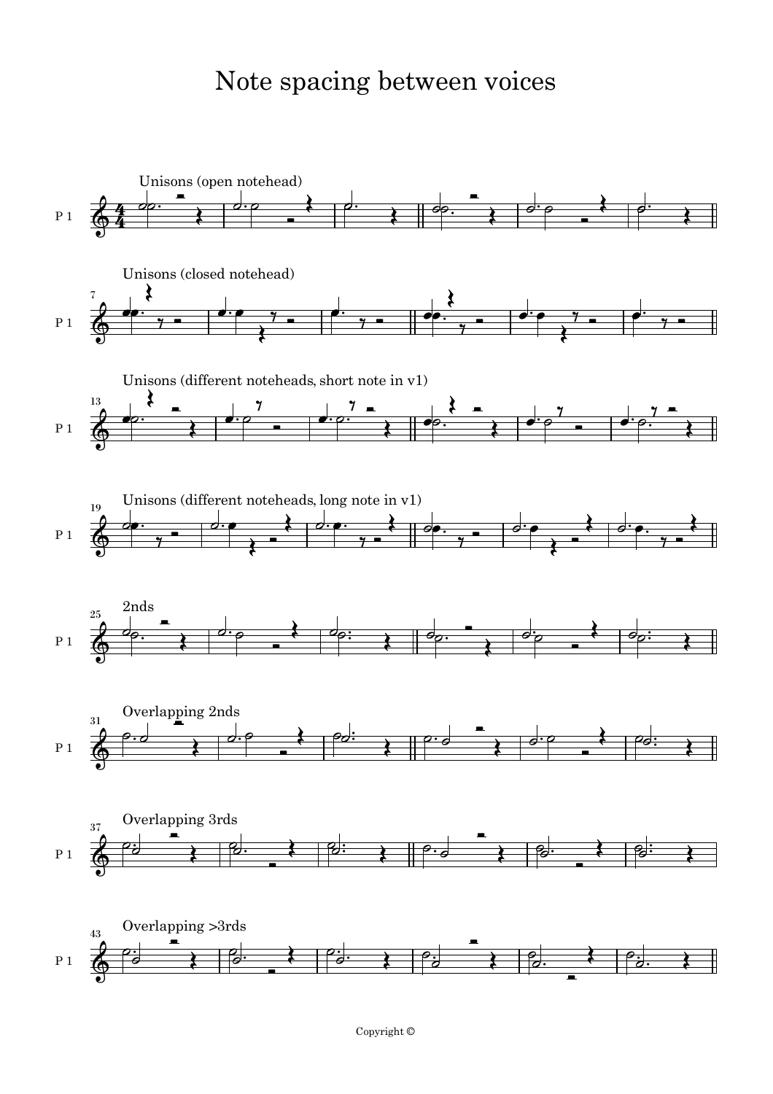## Note spacing between voices